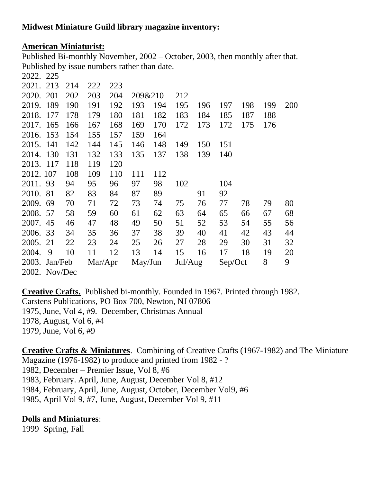# **American Miniaturist:**

Published Bi-monthly November, 2002 – October, 2003, then monthly after that. Published by issue numbers rather than date.  $2022. 225$ 

| 2022. 225     |    |     |         |     |         |     |         |     |         |     |     |     |
|---------------|----|-----|---------|-----|---------|-----|---------|-----|---------|-----|-----|-----|
| 2021. 213     |    | 214 | 222     | 223 |         |     |         |     |         |     |     |     |
| 2020. 201     |    | 202 | 203     | 204 | 209&210 |     | 212     |     |         |     |     |     |
| 2019. 189     |    | 190 | 191     | 192 | 193     | 194 | 195     | 196 | 197     | 198 | 199 | 200 |
| 2018. 177     |    | 178 | 179     | 180 | 181     | 182 | 183     | 184 | 185     | 187 | 188 |     |
| 2017. 165     |    | 166 | 167     | 168 | 169     | 170 | 172     | 173 | 172     | 175 | 176 |     |
| 2016. 153     |    | 154 | 155     | 157 | 159     | 164 |         |     |         |     |     |     |
| 2015. 141     |    | 142 | 144     | 145 | 146     | 148 | 149     | 150 | 151     |     |     |     |
| 2014. 130     |    | 131 | 132     | 133 | 135     | 137 | 138     | 139 | 140     |     |     |     |
| 2013. 117     |    | 118 | 119     | 120 |         |     |         |     |         |     |     |     |
| 2012. 107     |    | 108 | 109     | 110 | 111     | 112 |         |     |         |     |     |     |
| 2011. 93      |    | 94  | 95      | 96  | 97      | 98  | 102     |     | 104     |     |     |     |
| 2010. 81      |    | 82  | 83      | 84  | 87      | 89  |         | 91  | 92      |     |     |     |
| 2009.         | 69 | 70  | 71      | 72  | 73      | 74  | 75      | 76  | 77      | 78  | 79  | 80  |
| 2008. 57      |    | 58  | 59      | 60  | 61      | 62  | 63      | 64  | 65      | 66  | 67  | 68  |
| 2007. 45      |    | 46  | 47      | 48  | 49      | 50  | 51      | 52  | 53      | 54  | 55  | 56  |
| 2006. 33      |    | 34  | 35      | 36  | 37      | 38  | 39      | 40  | 41      | 42  | 43  | 44  |
| 2005.         | 21 | 22  | 23      | 24  | 25      | 26  | 27      | 28  | 29      | 30  | 31  | 32  |
| 2004.         | 9  | 10  | 11      | 12  | 13      | 14  | 15      | 16  | 17      | 18  | 19  | 20  |
| 2003. Jan/Feb |    |     | Mar/Apr |     | May/Jun |     | Jul/Aug |     | Sep/Oct |     | 8   | 9   |
| 2002. Nov/Dec |    |     |         |     |         |     |         |     |         |     |     |     |

**Creative Crafts.** Published bi-monthly. Founded in 1967. Printed through 1982. Carstens Publications, PO Box 700, Newton, NJ 07806 1975, June, Vol 4, #9. December, Christmas Annual 1978, August, Vol 6, #4 1979, June, Vol 6, #9

**Creative Crafts & Miniatures**. Combining of Creative Crafts (1967-1982) and The Miniature Magazine (1976-1982) to produce and printed from 1982 - ? 1982, December – Premier Issue, Vol 8, #6 1983, February. April, June, August, December Vol 8, #12 1984, February, April, June, August, October, December Vol9, #6 1985, April Vol 9, #7, June, August, December Vol 9, #11

# **Dolls and Miniatures**:

1999 Spring, Fall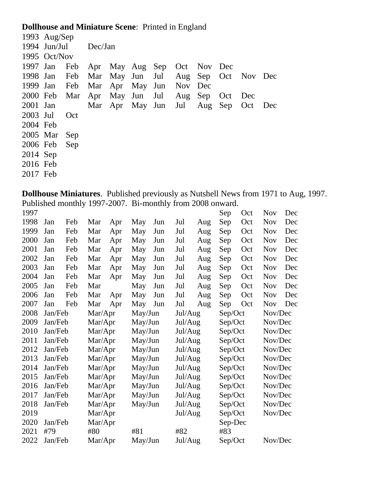# **Dollhouse and Miniature Scene**: Printed in England

| 1994 Jun/Jul Dec/Jan<br>1995 Oct/Nov<br>1997 Jan Feb Apr May Aug Sep Oct Nov Dec | Dec                                    |
|----------------------------------------------------------------------------------|----------------------------------------|
|                                                                                  |                                        |
|                                                                                  |                                        |
|                                                                                  |                                        |
| 1998 Jan Feb Mar May Jun Jul Aug Sep Oct Nov Dec                                 |                                        |
| 1999 Jan Feb Mar Apr May Jun Nov                                                 |                                        |
| 2000 Feb Mar Apr May Jun Jul Aug Sep                                             | Oct<br>Dec                             |
| 2001 Jan                                                                         | Mar Apr May Jun Jul Aug Sep Oct<br>Dec |
| 2003 Jul<br>Oct                                                                  |                                        |
| 2004 Feb                                                                         |                                        |
| 2005 Mar Sep                                                                     |                                        |
| 2006 Feb<br>Sep                                                                  |                                        |
| 2014 Sep                                                                         |                                        |
| 2016 Feb                                                                         |                                        |
| 2017 Feb                                                                         |                                        |

**Dollhouse Miniatures**. Published previously as Nutshell News from 1971 to Aug, 1997. Published monthly 1997-2007. Bi-monthly from 2008 onward.

| 1997 |         |     |         |     |         |     |         |     | Sep     | Oct | <b>Nov</b> | Dec |
|------|---------|-----|---------|-----|---------|-----|---------|-----|---------|-----|------------|-----|
| 1998 | Jan     | Feb | Mar     | Apr | May     | Jun | Jul     | Aug | Sep     | Oct | <b>Nov</b> | Dec |
| 1999 | Jan     | Feb | Mar     | Apr | May     | Jun | Jul     | Aug | Sep     | Oct | <b>Nov</b> | Dec |
| 2000 | Jan     | Feb | Mar     | Apr | May     | Jun | Jul     | Aug | Sep     | Oct | <b>Nov</b> | Dec |
| 2001 | Jan     | Feb | Mar     | Apr | May     | Jun | Jul     | Aug | Sep     | Oct | <b>Nov</b> | Dec |
| 2002 | Jan     | Feb | Mar     | Apr | May     | Jun | Jul     | Aug | Sep     | Oct | <b>Nov</b> | Dec |
| 2003 | Jan     | Feb | Mar     | Apr | May     | Jun | Jul     | Aug | Sep     | Oct | <b>Nov</b> | Dec |
| 2004 | Jan     | Feb | Mar     | Apr | May     | Jun | Jul     | Aug | Sep     | Oct | <b>Nov</b> | Dec |
| 2005 | Jan     | Feb | Mar     |     | May     | Jun | Jul     | Aug | Sep     | Oct | <b>Nov</b> | Dec |
| 2006 | Jan     | Feb | Mar     | Apr | May     | Jun | Jul     | Aug | Sep     | Oct | <b>Nov</b> | Dec |
| 2007 | Jan     | Feb | Mar     | Apr | May     | Jun | Jul     | Aug | Sep     | Oct | <b>Nov</b> | Dec |
| 2008 | Jan/Feb |     | Mar/Apr |     | May/Jun |     | Jul/Aug |     | Sep/Oct |     | Nov/Dec    |     |
| 2009 | Jan/Feb |     | Mar/Apr |     | May/Jun |     | Jul/Aug |     | Sep/Oct |     | Nov/Dec    |     |
| 2010 | Jan/Feb |     | Mar/Apr |     | May/Jun |     | Jul/Aug |     | Sep/Oct |     | Nov/Dec    |     |
| 2011 | Jan/Feb |     | Mar/Apr |     | May/Jun |     | Jul/Aug |     | Sep/Oct |     | Nov/Dec    |     |
| 2012 | Jan/Feb |     | Mar/Apr |     | May/Jun |     | Jul/Aug |     | Sep/Oct |     | Nov/Dec    |     |
| 2013 | Jan/Feb |     | Mar/Apr |     | May/Jun |     | Jul/Aug |     | Sep/Oct |     | Nov/Dec    |     |
| 2014 | Jan/Feb |     | Mar/Apr |     | May/Jun |     | Jul/Aug |     | Sep/Oct |     | Nov/Dec    |     |
| 2015 | Jan/Feb |     | Mar/Apr |     | May/Jun |     | Jul/Aug |     | Sep/Oct |     | Nov/Dec    |     |
| 2016 | Jan/Feb |     | Mar/Apr |     | May/Jun |     | Jul/Aug |     | Sep/Oct |     | Nov/Dec    |     |
| 2017 | Jan/Feb |     | Mar/Apr |     | May/Jun |     | Jul/Aug |     | Sep/Oct |     | Nov/Dec    |     |
| 2018 | Jan/Feb |     | Mar/Apr |     | May/Jun |     | Jul/Aug |     | Sep/Oct |     | Nov/Dec    |     |
| 2019 |         |     | Mar/Apr |     |         |     | Jul/Aug |     | Sep/Oct |     | Nov/Dec    |     |
| 2020 | Jan/Feb |     | Mar/Apr |     |         |     |         |     | Sep-Dec |     |            |     |
| 2021 | #79     |     | #80     |     | #81     |     | #82     |     | #83     |     |            |     |
| 2022 | Jan/Feb |     | Mar/Apr |     | May/Jun |     | Jul/Aug |     | Sep/Oct |     | Nov/Dec    |     |
|      |         |     |         |     |         |     |         |     |         |     |            |     |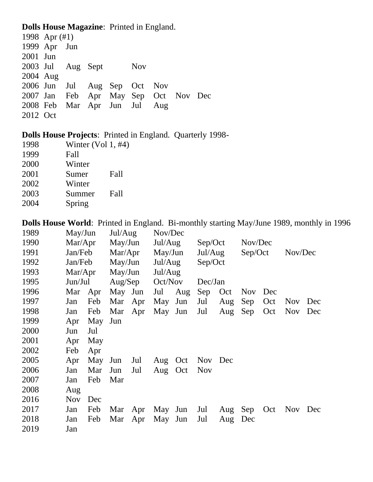## **Dolls House Magazine**: Printed in England.

|          | 1998 Apr $(\#1)$  |  |                              |            |                                      |  |
|----------|-------------------|--|------------------------------|------------|--------------------------------------|--|
|          | 1999 Apr Jun      |  |                              |            |                                      |  |
| 2001 Jun |                   |  |                              |            |                                      |  |
|          | 2003 Jul Aug Sept |  |                              | <b>Nov</b> |                                      |  |
| 2004 Aug |                   |  |                              |            |                                      |  |
|          |                   |  | 2006 Jun Jul Aug Sep Oct Nov |            |                                      |  |
|          |                   |  |                              |            | 2007 Jan Feb Apr May Sep Oct Nov Dec |  |
|          |                   |  | 2008 Feb Mar Apr Jun Jul Aug |            |                                      |  |
| 2012 Oct |                   |  |                              |            |                                      |  |

**Dolls House Projects**: Printed in England. Quarterly 1998-

| 1998 | Winter $(Vol 1, #4)$ |      |
|------|----------------------|------|
| 1999 | Fall                 |      |
| 2000 | Winter               |      |
| 2001 | Sumer                | Fall |
| 2002 | Winter               |      |
| 2003 | Summer               | Fall |

Spring

**Dolls House World**: Printed in England. Bi-monthly starting May/June 1989, monthly in 1996

| 1989 | May/Jun    |     | Jul/Aug |     | Nov/Dec |     |            |     |            |     |            |     |
|------|------------|-----|---------|-----|---------|-----|------------|-----|------------|-----|------------|-----|
| 1990 | Mar/Apr    |     | May/Jun |     | Jul/Aug |     | Sep/Oct    |     | Nov/Dec    |     |            |     |
| 1991 | Jan/Feb    |     | Mar/Apr |     | May/Jun |     | Jul/Aug    |     | Sep/Oct    |     | Nov/Dec    |     |
| 1992 | Jan/Feb    |     | May/Jun |     | Jul/Aug |     | Sep/Oct    |     |            |     |            |     |
| 1993 | Mar/Apr    |     | May/Jun |     | Jul/Aug |     |            |     |            |     |            |     |
| 1995 | Jun/Jul    |     | Aug/Sep |     | Oct/Nov |     | Dec/Jan    |     |            |     |            |     |
| 1996 | Mar        | Apr | May     | Jun | Jul     | Aug | Sep        | Oct | <b>Nov</b> | Dec |            |     |
| 1997 | Jan        | Feb | Mar     | Apr | May     | Jun | Jul        | Aug | Sep        | Oct | <b>Nov</b> | Dec |
| 1998 | Jan        | Feb | Mar     | Apr | May     | Jun | Jul        | Aug | Sep        | Oct | <b>Nov</b> | Dec |
| 1999 | Apr        | May | Jun     |     |         |     |            |     |            |     |            |     |
| 2000 | Jun        | Jul |         |     |         |     |            |     |            |     |            |     |
| 2001 | Apr        | May |         |     |         |     |            |     |            |     |            |     |
| 2002 | Feb        | Apr |         |     |         |     |            |     |            |     |            |     |
| 2005 | Apr        | May | Jun     | Jul | Aug     | Oct | <b>Nov</b> | Dec |            |     |            |     |
| 2006 | Jan        | Mar | Jun     | Jul | Aug     | Oct | <b>Nov</b> |     |            |     |            |     |
| 2007 | Jan        | Feb | Mar     |     |         |     |            |     |            |     |            |     |
| 2008 | Aug        |     |         |     |         |     |            |     |            |     |            |     |
| 2016 | <b>Nov</b> | Dec |         |     |         |     |            |     |            |     |            |     |
| 2017 | Jan        | Feb | Mar     | Apr | May Jun |     | Jul        | Aug | Sep        | Oct | Nov Dec    |     |
| 2018 | Jan        | Feb | Mar     | Apr | May     | Jun | Jul        | Aug | Dec        |     |            |     |
| 2019 | Jan        |     |         |     |         |     |            |     |            |     |            |     |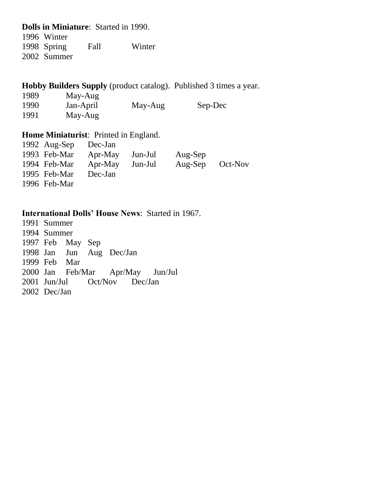### **Dolls in Miniature**: Started in 1990.

 Winter Spring Fall Winter Summer

### **Hobby Builders Supply** (product catalog). Published 3 times a year.

| 1989 | May-Aug   |         |         |
|------|-----------|---------|---------|
| 1990 | Jan-April | May-Aug | Sep-Dec |
| 1991 | May-Aug   |         |         |

#### **Home Miniaturist:** Printed in England.<br>1002. Are Sample Dec Jan  $1002 \text{ A}$ ug-Sep Dec-

| $1992$ Aug-Sep | Dec-Jan |         |                 |  |
|----------------|---------|---------|-----------------|--|
| 1993 Feb-Mar   | Apr-May | Jun-Jul | Aug-Sep         |  |
| 1994 Feb-Mar   | Apr-May | Jun-Jul | Aug-Sep Oct-Nov |  |
| 1995 Feb-Mar   | Dec-Jan |         |                 |  |
| 1996 Feb-Mar   |         |         |                 |  |

### **International Dolls' House News**: Started in 1967.

 Summer Summer Feb May Sep Jun Aug Dec/Jan Feb Mar Jan Feb/Mar Apr/May Jun/Jul Jun/Jul Oct/Nov Dec/Jan Dec/Jan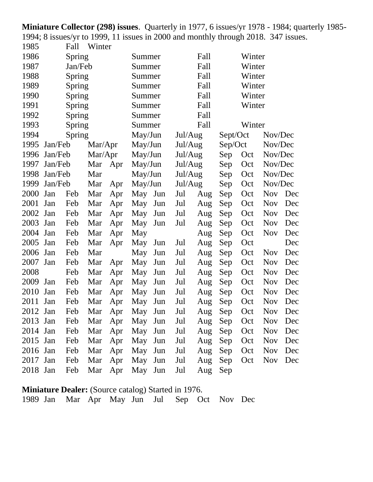**Miniature Collector (298) issues**. Quarterly in 1977, 6 issues/yr 1978 - 1984; quarterly 1985- 1994; 8 issues/yr to 1999, 11 issues in 2000 and monthly through 2018. 347 issues.<br>1985 Fall Winter  $F_9$ <sup>11</sup> Winter

| 1 J O J  |         | r an          | $\mathbf{v}$ incl |     |                 |     |         |      |          |        |            |     |
|----------|---------|---------------|-------------------|-----|-----------------|-----|---------|------|----------|--------|------------|-----|
| 1986     |         | <b>Spring</b> |                   |     | Summer          |     |         | Fall |          | Winter |            |     |
| 1987     |         | Jan/Feb       |                   |     | Summer          |     |         | Fall |          | Winter |            |     |
| 1988     |         | <b>Spring</b> |                   |     | Summer          |     |         | Fall |          | Winter |            |     |
| 1989     |         | <b>Spring</b> |                   |     | Summer          |     |         | Fall |          | Winter |            |     |
| 1990     |         | <b>Spring</b> |                   |     | Summer          |     |         | Fall |          | Winter |            |     |
| 1991     |         | <b>Spring</b> |                   |     | Summer          |     |         | Fall |          | Winter |            |     |
| 1992     |         | Spring        |                   |     | Summer          |     |         | Fall |          |        |            |     |
| 1993     |         | Spring        |                   |     | Summer          |     |         | Fall |          | Winter |            |     |
| 1994     |         | Spring        |                   |     | May/Jun         |     | Jul/Aug |      | Sept/Oct |        | Nov/Dec    |     |
| 1995     | Jan/Feb |               | Mar/Apr           |     | May/Jun         |     | Jul/Aug |      | Sep/Oct  |        | Nov/Dec    |     |
| 1996     | Jan/Feb |               | Mar/Apr           |     | May/Jun         |     | Jul/Aug |      | Sep      | Oct    | Nov/Dec    |     |
| 1997     | Jan/Feb |               | Mar               | Apr | May/Jun         |     | Jul/Aug |      | Sep      | Oct    | Nov/Dec    |     |
| 1998     | Jan/Feb |               | Mar               |     | May/Jun         |     | Jul/Aug |      | Sep      | Oct    | Nov/Dec    |     |
| 1999     | Jan/Feb |               | Mar               | Apr | May/Jun         |     | Jul/Aug |      | Sep      | Oct    | Nov/Dec    |     |
| 2000     | Jan     | Feb           | Mar               | Apr | May             | Jun | Jul     | Aug  | Sep      | Oct    | <b>Nov</b> | Dec |
| 2001     | Jan     | Feb           | Mar               | Apr | May             | Jun | Jul     | Aug  | Sep      | Oct    | <b>Nov</b> | Dec |
| 2002     | Jan     | Feb           | Mar               | Apr | May             | Jun | Jul     | Aug  | Sep      | Oct    | <b>Nov</b> | Dec |
| 2003     | Jan     | Feb           | Mar               | Apr | May             | Jun | Jul     | Aug  | Sep      | Oct    | <b>Nov</b> | Dec |
| 2004     | Jan     | Feb           | Mar               | Apr | May             |     |         | Aug  | Sep      | Oct    | <b>Nov</b> | Dec |
| 2005     | Jan     | Feb           | Mar               | Apr | May             | Jun | Jul     | Aug  | Sep      | Oct    |            | Dec |
| 2006     | Jan     | Feb           | Mar               |     | May             | Jun | Jul     | Aug  | Sep      | Oct    | <b>Nov</b> | Dec |
| 2007     | Jan     | Feb           | Mar               | Apr | May             | Jun | Jul     | Aug  | Sep      | Oct    | <b>Nov</b> | Dec |
| 2008     |         | Feb           | Mar               | Apr | May             | Jun | Jul     | Aug  | Sep      | Oct    | <b>Nov</b> | Dec |
| 2009     | Jan     | Feb           | Mar               | Apr | May             | Jun | Jul     | Aug  | Sep      | Oct    | <b>Nov</b> | Dec |
| 2010     | Jan     | Feb           | Mar               | Apr | May             | Jun | Jul     | Aug  | Sep      | Oct    | <b>Nov</b> | Dec |
| 2011     | Jan     | Feb           | Mar               | Apr | May             | Jun | Jul     | Aug  | Sep      | Oct    | <b>Nov</b> | Dec |
| 2012     | Jan     | Feb           | Mar               | Apr | May             | Jun | Jul     | Aug  | Sep      | Oct    | <b>Nov</b> | Dec |
| 2013 Jan |         | Feb           |                   |     | Mar Apr May Jun |     | Jul     | Aug  | Sep      | Oct    | Nov Dec    |     |
| 2014 Jan |         | Feb           | Mar               | Apr | May             | Jun | Jul     | Aug  | Sep      | Oct    | <b>Nov</b> | Dec |
| 2015 Jan |         | Feb           | Mar               | Apr | May             | Jun | Jul     | Aug  | Sep      | Oct    | <b>Nov</b> | Dec |
| 2016 Jan |         | Feb           | Mar               | Apr | May             | Jun | Jul     | Aug  | Sep      | Oct    | <b>Nov</b> | Dec |
| 2017     | Jan     | Feb           | Mar               | Apr | May             | Jun | Jul     | Aug  | Sep      | Oct    | <b>Nov</b> | Dec |
| 2018 Jan |         | Feb           | Mar               | Apr | May             | Jun | Jul     | Aug  | Sep      |        |            |     |

**Miniature Dealer:** (Source catalog) Started in 1976. Jan Mar Apr May Jun Jul Sep Oct Nov Dec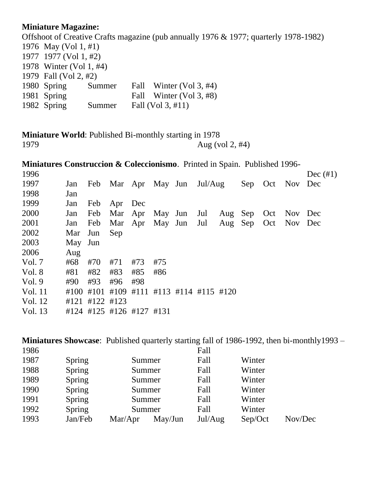### **Miniature Magazine:**

Offshoot of Creative Crafts magazine (pub annually 1976 & 1977; quarterly 1978-1982) May (Vol 1, #1) 1977 (Vol 1, #2) Winter (Vol 1, #4) Fall (Vol 2, #2) Spring Summer Fall Winter (Vol 3, #4) 1981 Spring Fall Winter (Vol 3, #8) Spring Summer Fall (Vol 3, #11)

**Miniature World**: Published Bi-monthly starting in 1978 Aug (vol 2, #4)

**Miniatures Construccion & Coleccionismo**. Printed in Spain. Published 1996-

| 1996     |      |                             |                     |                               |      |  |     |     |             |             | Dec $(\#1)$ |
|----------|------|-----------------------------|---------------------|-------------------------------|------|--|-----|-----|-------------|-------------|-------------|
| 1997     | Jan  | Feb Mar Apr May Jun Jul/Aug |                     |                               |      |  |     |     | Sep Oct Nov |             | Dec         |
| 1998     | Jan  |                             |                     |                               |      |  |     |     |             |             |             |
| 1999     | Jan  | Feb                         | Apr Dec             |                               |      |  |     |     |             |             |             |
| 2000     | Jan  | Feb                         | Mar Apr May Jun Jul |                               |      |  | Aug | Sep | Oct         | Nov         | Dec         |
| 2001     | Jan  | Feb                         |                     | Mar Apr May Jun Jul           |      |  | Aug | Sep |             | Oct Nov Dec |             |
| 2002     | Mar  | Jun                         | Sep                 |                               |      |  |     |     |             |             |             |
| 2003     | May  | Jun                         |                     |                               |      |  |     |     |             |             |             |
| 2006     | Aug  |                             |                     |                               |      |  |     |     |             |             |             |
| Vol. $7$ | #68  | #70                         | #71                 | #73                           | #75  |  |     |     |             |             |             |
| Vol. 8   | #81  | #82                         | #83                 | #85                           | #86  |  |     |     |             |             |             |
| Vol.9    | #90  | #93                         | #96                 | #98                           |      |  |     |     |             |             |             |
| Vol. 11  | #100 | #101                        |                     | #109 #111 #113 #114 #115 #120 |      |  |     |     |             |             |             |
| Vol. 12  |      | #121 #122 #123              |                     |                               |      |  |     |     |             |             |             |
| Vol. 13  |      | #124 #125 #126 #127         |                     |                               | #131 |  |     |     |             |             |             |

**Miniatures Showcase**: Published quarterly starting fall of 1986-1992, then bi-monthly 1993 – 1086

| 1986 |         |         |         | Fall    |         |         |
|------|---------|---------|---------|---------|---------|---------|
| 1987 | Spring  |         | Summer  | Fall    | Winter  |         |
| 1988 | Spring  |         | Summer  | Fall    | Winter  |         |
| 1989 | Spring  |         | Summer  | Fall    | Winter  |         |
| 1990 | Spring  |         | Summer  | Fall    | Winter  |         |
| 1991 | Spring  |         | Summer  | Fall    | Winter  |         |
| 1992 | Spring  |         | Summer  | Fall    | Winter  |         |
| 1993 | Jan/Feb | Mar/Apr | May/Jun | Jul/Aug | Sep/Oct | Nov/Dec |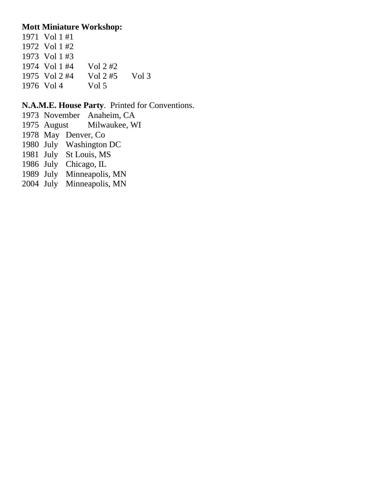### **Mott Miniature Workshop:**

 Vol 1 #1 Vol 1 #2 Vol 1 #3 1974 Vol 1 #4 Vol 2 #2<br>1975 Vol 2 #4 Vol 2 #5 Vol 2 #4 Vol 2 #5 Vol 3 1976 Vol 4 Vol 5

### **N.A.M.E. House Party**. Printed for Conventions.

- November Anaheim, CA
- August Milwaukee, WI
- May Denver, Co
- July Washington DC
- July St Louis, MS
- July Chicago, IL
- July Minneapolis, MN
- July Minneapolis, MN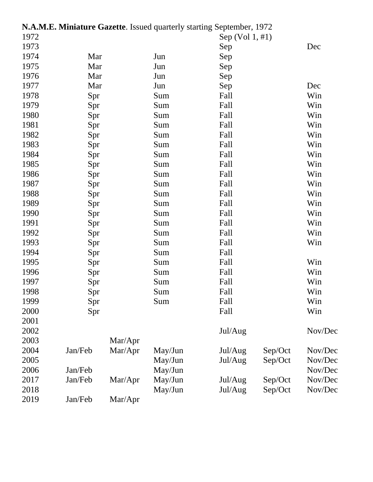|      |         |         | N.A.M.E. Miniature Gazette. Issued quarterly starting September, 1972 |                   |         |         |
|------|---------|---------|-----------------------------------------------------------------------|-------------------|---------|---------|
| 1972 |         |         |                                                                       | Sep $(Vol 1, #1)$ |         |         |
| 1973 |         |         |                                                                       | Sep               |         | Dec     |
| 1974 | Mar     |         | Jun                                                                   | Sep               |         |         |
| 1975 | Mar     |         | Jun                                                                   | Sep               |         |         |
| 1976 | Mar     |         | Jun                                                                   | Sep               |         |         |
| 1977 | Mar     |         | Jun                                                                   | Sep               |         | Dec     |
| 1978 | Spr     |         | Sum                                                                   | Fall              |         | Win     |
| 1979 | Spr     |         | Sum                                                                   | Fall              |         | Win     |
| 1980 | Spr     |         | Sum                                                                   | Fall              |         | Win     |
| 1981 | Spr     |         | Sum                                                                   | Fall              |         | Win     |
| 1982 | Spr     |         | Sum                                                                   | Fall              |         | Win     |
| 1983 | Spr     |         | Sum                                                                   | Fall              |         | Win     |
| 1984 | Spr     |         | Sum                                                                   | Fall              |         | Win     |
| 1985 | Spr     |         | Sum                                                                   | Fall              |         | Win     |
| 1986 | Spr     |         | Sum                                                                   | Fall              |         | Win     |
| 1987 | Spr     |         | Sum                                                                   | Fall              |         | Win     |
| 1988 | Spr     |         | Sum                                                                   | Fall              |         | Win     |
| 1989 | Spr     |         | Sum                                                                   | Fall              |         | Win     |
| 1990 | Spr     |         | Sum                                                                   | Fall              |         | Win     |
| 1991 | Spr     |         | Sum                                                                   | Fall              |         | Win     |
| 1992 | Spr     |         | Sum                                                                   | Fall              |         | Win     |
| 1993 | Spr     |         | Sum                                                                   | Fall              |         | Win     |
| 1994 | Spr     |         | Sum                                                                   | Fall              |         |         |
| 1995 | Spr     |         | Sum                                                                   | Fall              |         | Win     |
| 1996 | Spr     |         | Sum                                                                   | Fall              |         | Win     |
| 1997 | Spr     |         | Sum                                                                   | Fall              |         | Win     |
| 1998 | Spr     |         | Sum                                                                   | Fall              |         | Win     |
| 1999 | Spr     |         | Sum                                                                   | Fall              |         | Win     |
| 2000 | Spr     |         |                                                                       | Fall              |         | Win     |
| 2001 |         |         |                                                                       |                   |         |         |
| 2002 |         |         |                                                                       | Jul/Aug           |         | Nov/Dec |
| 2003 |         | Mar/Apr |                                                                       |                   |         |         |
| 2004 | Jan/Feb | Mar/Apr | May/Jun                                                               | Jul/Aug           | Sep/Oct | Nov/Dec |
| 2005 |         |         | May/Jun                                                               | Jul/Aug           | Sep/Oct | Nov/Dec |
| 2006 | Jan/Feb |         | May/Jun                                                               |                   |         | Nov/Dec |
| 2017 | Jan/Feb | Mar/Apr | May/Jun                                                               | Jul/Aug           | Sep/Oct | Nov/Dec |
| 2018 |         |         | May/Jun                                                               | Jul/Aug           | Sep/Oct | Nov/Dec |
| 2019 | Jan/Feb | Mar/Apr |                                                                       |                   |         |         |